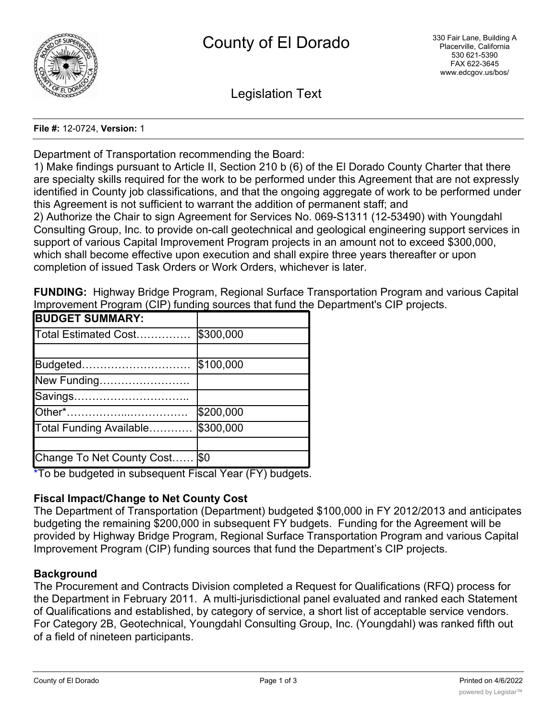

Legislation Text

#### **File #:** 12-0724, **Version:** 1

Department of Transportation recommending the Board:

1) Make findings pursuant to Article II, Section 210 b (6) of the El Dorado County Charter that there are specialty skills required for the work to be performed under this Agreement that are not expressly identified in County job classifications, and that the ongoing aggregate of work to be performed under this Agreement is not sufficient to warrant the addition of permanent staff; and 2) Authorize the Chair to sign Agreement for Services No. 069-S1311 (12-53490) with Youngdahl Consulting Group, Inc. to provide on-call geotechnical and geological engineering support services in support of various Capital Improvement Program projects in an amount not to exceed \$300,000, which shall become effective upon execution and shall expire three years thereafter or upon completion of issued Task Orders or Work Orders, whichever is later.

**FUNDING:** Highway Bridge Program, Regional Surface Transportation Program and various Capital Improvement Program (CIP) funding sources that fund the Department's CIP projects.

| <b>BUDGET SUMMARY:</b>    |           |
|---------------------------|-----------|
| Total Estimated Cost      | \$300,000 |
|                           |           |
| Budgeted                  | \$100,000 |
| New Funding               |           |
|                           |           |
|                           | \$200,000 |
| Total Funding Available   | \$300,000 |
|                           |           |
| Change To Net County Cost | <b>SO</b> |

\*To be budgeted in subsequent Fiscal Year (FY) budgets.

# **Fiscal Impact/Change to Net County Cost**

The Department of Transportation (Department) budgeted \$100,000 in FY 2012/2013 and anticipates budgeting the remaining \$200,000 in subsequent FY budgets. Funding for the Agreement will be provided by Highway Bridge Program, Regional Surface Transportation Program and various Capital Improvement Program (CIP) funding sources that fund the Department's CIP projects.

# **Background**

The Procurement and Contracts Division completed a Request for Qualifications (RFQ) process for the Department in February 2011. A multi-jurisdictional panel evaluated and ranked each Statement of Qualifications and established, by category of service, a short list of acceptable service vendors. For Category 2B, Geotechnical, Youngdahl Consulting Group, Inc. (Youngdahl) was ranked fifth out of a field of nineteen participants.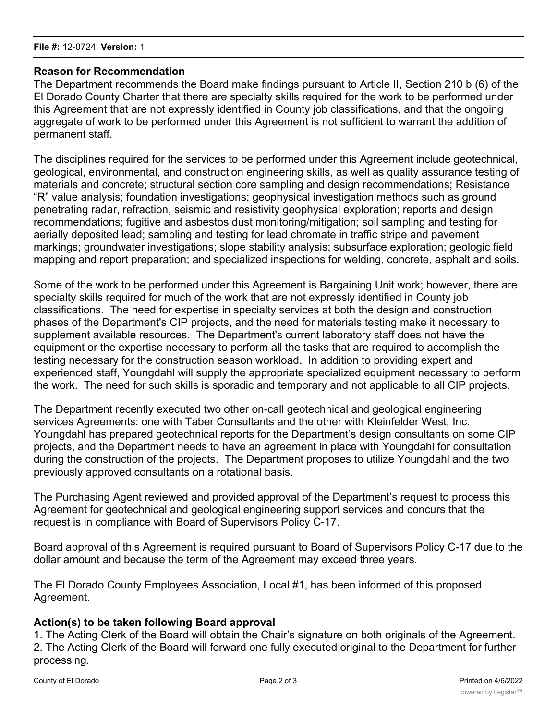### **Reason for Recommendation**

The Department recommends the Board make findings pursuant to Article II, Section 210 b (6) of the El Dorado County Charter that there are specialty skills required for the work to be performed under this Agreement that are not expressly identified in County job classifications, and that the ongoing aggregate of work to be performed under this Agreement is not sufficient to warrant the addition of permanent staff.

The disciplines required for the services to be performed under this Agreement include geotechnical, geological, environmental, and construction engineering skills, as well as quality assurance testing of materials and concrete; structural section core sampling and design recommendations; Resistance "R" value analysis; foundation investigations; geophysical investigation methods such as ground penetrating radar, refraction, seismic and resistivity geophysical exploration; reports and design recommendations; fugitive and asbestos dust monitoring/mitigation; soil sampling and testing for aerially deposited lead; sampling and testing for lead chromate in traffic stripe and pavement markings; groundwater investigations; slope stability analysis; subsurface exploration; geologic field mapping and report preparation; and specialized inspections for welding, concrete, asphalt and soils.

Some of the work to be performed under this Agreement is Bargaining Unit work; however, there are specialty skills required for much of the work that are not expressly identified in County job classifications. The need for expertise in specialty services at both the design and construction phases of the Department's CIP projects, and the need for materials testing make it necessary to supplement available resources. The Department's current laboratory staff does not have the equipment or the expertise necessary to perform all the tasks that are required to accomplish the testing necessary for the construction season workload. In addition to providing expert and experienced staff, Youngdahl will supply the appropriate specialized equipment necessary to perform the work. The need for such skills is sporadic and temporary and not applicable to all CIP projects.

The Department recently executed two other on-call geotechnical and geological engineering services Agreements: one with Taber Consultants and the other with Kleinfelder West, Inc. Youngdahl has prepared geotechnical reports for the Department's design consultants on some CIP projects, and the Department needs to have an agreement in place with Youngdahl for consultation during the construction of the projects. The Department proposes to utilize Youngdahl and the two previously approved consultants on a rotational basis.

The Purchasing Agent reviewed and provided approval of the Department's request to process this Agreement for geotechnical and geological engineering support services and concurs that the request is in compliance with Board of Supervisors Policy C-17.

Board approval of this Agreement is required pursuant to Board of Supervisors Policy C-17 due to the dollar amount and because the term of the Agreement may exceed three years.

The El Dorado County Employees Association, Local #1, has been informed of this proposed Agreement.

# **Action(s) to be taken following Board approval**

1. The Acting Clerk of the Board will obtain the Chair's signature on both originals of the Agreement. 2. The Acting Clerk of the Board will forward one fully executed original to the Department for further processing.